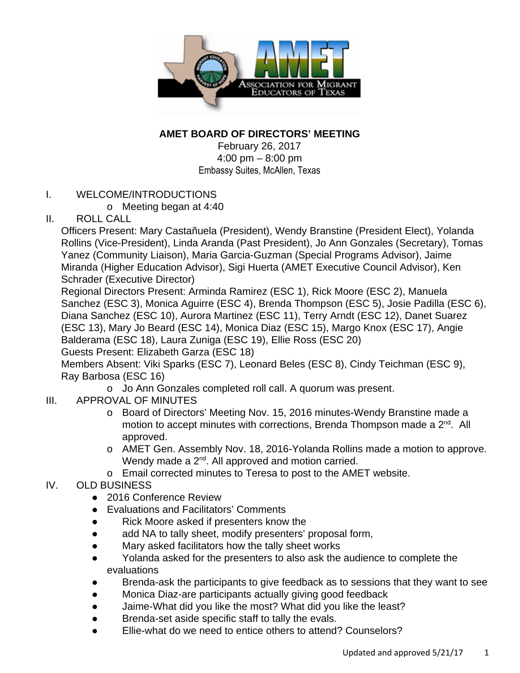

## **AMET BOARD OF DIRECTORS' MEETING**

February 26, 2017 4:00 pm – 8:00 pm Embassy Suites, McAllen, Texas

## I. WELCOME/INTRODUCTIONS

o Meeting began at 4:40

## II. ROLL CALL

Officers Present: Mary Castañuela (President), Wendy Branstine (President Elect), Yolanda Rollins (Vice-President), Linda Aranda (Past President), Jo Ann Gonzales (Secretary), Tomas Yanez (Community Liaison), Maria Garcia-Guzman (Special Programs Advisor), Jaime Miranda (Higher Education Advisor), Sigi Huerta (AMET Executive Council Advisor), Ken Schrader (Executive Director)

Regional Directors Present: Arminda Ramirez (ESC 1), Rick Moore (ESC 2), Manuela Sanchez (ESC 3), Monica Aguirre (ESC 4), Brenda Thompson (ESC 5), Josie Padilla (ESC 6), Diana Sanchez (ESC 10), Aurora Martinez (ESC 11), Terry Arndt (ESC 12), Danet Suarez (ESC 13), Mary Jo Beard (ESC 14), Monica Diaz (ESC 15), Margo Knox (ESC 17), Angie Balderama (ESC 18), Laura Zuniga (ESC 19), Ellie Ross (ESC 20)

Guests Present: Elizabeth Garza (ESC 18)

Members Absent: Viki Sparks (ESC 7), Leonard Beles (ESC 8), Cindy Teichman (ESC 9), Ray Barbosa (ESC 16)

- o Jo Ann Gonzales completed roll call. A quorum was present.
- III. APPROVAL OF MINUTES
	- o Board of Directors' Meeting Nov. 15, 2016 minutes-Wendy Branstine made a motion to accept minutes with corrections, Brenda Thompson made a 2<sup>nd</sup>. All approved.
	- o AMET Gen. Assembly Nov. 18, 2016-Yolanda Rollins made a motion to approve. Wendy made a 2<sup>nd</sup>. All approved and motion carried.
	- o Email corrected minutes to Teresa to post to the AMET website.

## IV. OLD BUSINESS

- 2016 Conference Review
- Evaluations and Facilitators' Comments
- Rick Moore asked if presenters know the
- add NA to tally sheet, modify presenters' proposal form,
- Mary asked facilitators how the tally sheet works
- Yolanda asked for the presenters to also ask the audience to complete the evaluations
- Brenda-ask the participants to give feedback as to sessions that they want to see
- Monica Diaz-are participants actually giving good feedback
- Jaime-What did you like the most? What did you like the least?
- Brenda-set aside specific staff to tally the evals.
- Ellie-what do we need to entice others to attend? Counselors?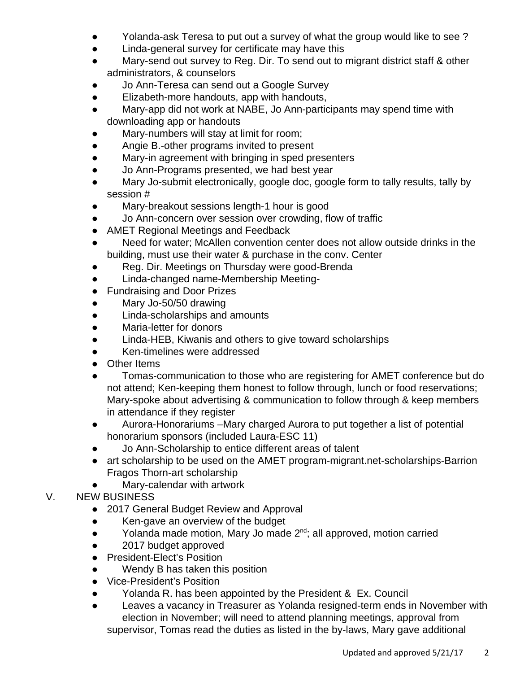- Yolanda-ask Teresa to put out a survey of what the group would like to see ?
- Linda-general survey for certificate may have this
- Mary-send out survey to Reg. Dir. To send out to migrant district staff & other administrators, & counselors
- Jo Ann-Teresa can send out a Google Survey
- Elizabeth-more handouts, app with handouts,
- Mary-app did not work at NABE, Jo Ann-participants may spend time with downloading app or handouts
- Mary-numbers will stay at limit for room;
- Angie B.-other programs invited to present
- Mary-in agreement with bringing in sped presenters
- Jo Ann-Programs presented, we had best year
- Mary Jo-submit electronically, google doc, google form to tally results, tally by session #
- Mary-breakout sessions length-1 hour is good
- Jo Ann-concern over session over crowding, flow of traffic
- AMET Regional Meetings and Feedback
- Need for water; McAllen convention center does not allow outside drinks in the building, must use their water & purchase in the conv. Center
- Reg. Dir. Meetings on Thursday were good-Brenda
- Linda-changed name-Membership Meeting-
- Fundraising and Door Prizes
- Mary Jo-50/50 drawing
- Linda-scholarships and amounts
- Maria-letter for donors
- Linda-HEB, Kiwanis and others to give toward scholarships
- Ken-timelines were addressed
- Other Items
- Tomas-communication to those who are registering for AMET conference but do not attend; Ken-keeping them honest to follow through, lunch or food reservations; Mary-spoke about advertising & communication to follow through & keep members in attendance if they register
- Aurora-Honorariums –Mary charged Aurora to put together a list of potential honorarium sponsors (included Laura-ESC 11)
- Jo Ann-Scholarship to entice different areas of talent
- art scholarship to be used on the AMET program-migrant.net-scholarships-Barrion Fragos Thorn-art scholarship
- Mary-calendar with artwork
- V. NEW BUSINESS
	- 2017 General Budget Review and Approval
	- Ken-gave an overview of the budget
	- Yolanda made motion, Mary Jo made 2<sup>nd</sup>; all approved, motion carried
	- 2017 budget approved
	- President-Elect's Position
	- Wendy B has taken this position
	- Vice-President's Position
	- Yolanda R. has been appointed by the President & Ex. Council
	- Leaves a vacancy in Treasurer as Yolanda resigned-term ends in November with election in November; will need to attend planning meetings, approval from supervisor, Tomas read the duties as listed in the by-laws, Mary gave additional